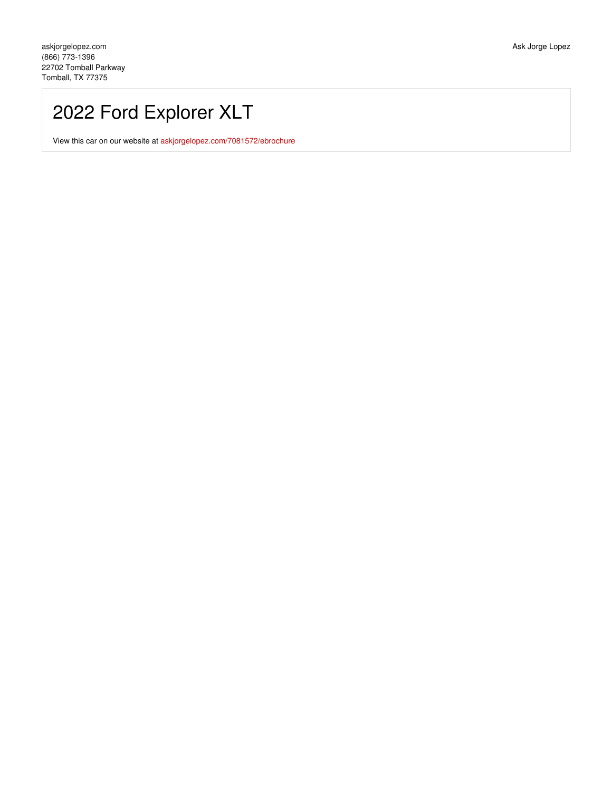# 2022 Ford Explorer XLT

View this car on our website at [askjorgelopez.com/7081572/ebrochure](https://askjorgelopez.com/vehicle/7081572/2022-ford-explorer-xlt-tomball-tx-77375/7081572/ebrochure)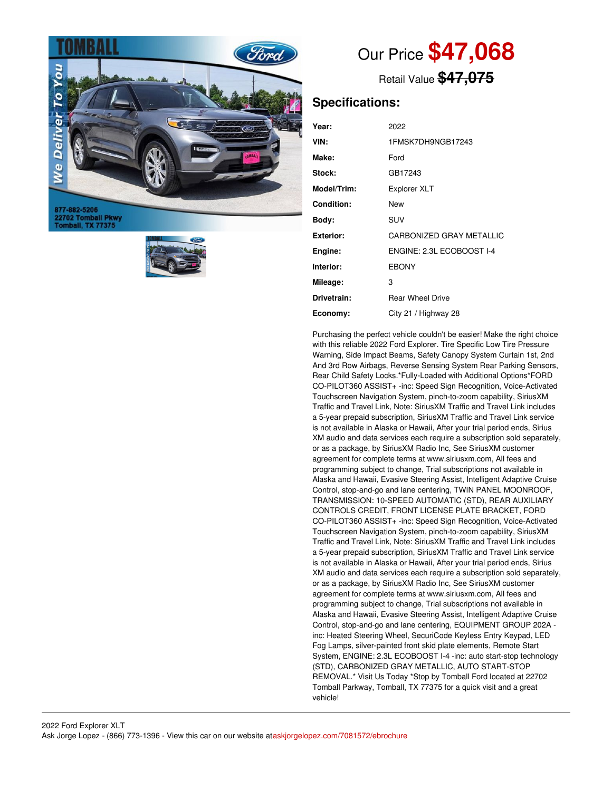

877-882-5206 22702 Tomball Pkwy<br>Tomball, TX 77375



# Our Price **\$47,068**

Retail Value **\$47,075**

## **Specifications:**

| Year:              | 2022                      |
|--------------------|---------------------------|
| VIN:               | 1FMSK7DH9NGB17243         |
| Make:              | Ford                      |
| Stock:             | GB17243                   |
| <b>Model/Trim:</b> | <b>Explorer XLT</b>       |
| <b>Condition:</b>  | New                       |
| Bodv:              | <b>SUV</b>                |
| Exterior:          | CARBONIZED GRAY METALLIC  |
| Engine:            | ENGINE: 2.3L ECOBOOST I-4 |
| Interior:          | <b>EBONY</b>              |
| Mileage:           | 3                         |
| Drivetrain:        | <b>Rear Wheel Drive</b>   |
| Economy:           | City 21 / Highway 28      |

Purchasing the perfect vehicle couldn't be easier! Make the right choice with this reliable 2022 Ford Explorer. Tire Specific Low Tire Pressure Warning, Side Impact Beams, Safety Canopy System Curtain 1st, 2nd And 3rd Row Airbags, Reverse Sensing System Rear Parking Sensors, Rear Child Safety Locks.\*Fully-Loaded with Additional Options\*FORD CO-PILOT360 ASSIST+ -inc: Speed Sign Recognition, Voice-Activated Touchscreen Navigation System, pinch-to-zoom capability, SiriusXM Traffic and Travel Link, Note: SiriusXM Traffic and Travel Link includes a 5-year prepaid subscription, SiriusXM Traffic and Travel Link service is not available in Alaska or Hawaii, After your trial period ends, Sirius XM audio and data services each require a subscription sold separately, or as a package, by SiriusXM Radio Inc, See SiriusXM customer agreement for complete terms at www.siriusxm.com, All fees and programming subject to change, Trial subscriptions not available in Alaska and Hawaii, Evasive Steering Assist, Intelligent Adaptive Cruise Control, stop-and-go and lane centering, TWIN PANEL MOONROOF, TRANSMISSION: 10-SPEED AUTOMATIC (STD), REAR AUXILIARY CONTROLS CREDIT, FRONT LICENSE PLATE BRACKET, FORD CO-PILOT360 ASSIST+ -inc: Speed Sign Recognition, Voice-Activated Touchscreen Navigation System, pinch-to-zoom capability, SiriusXM Traffic and Travel Link, Note: SiriusXM Traffic and Travel Link includes a 5-year prepaid subscription, SiriusXM Traffic and Travel Link service is not available in Alaska or Hawaii, After your trial period ends, Sirius XM audio and data services each require a subscription sold separately, or as a package, by SiriusXM Radio Inc, See SiriusXM customer agreement for complete terms at www.siriusxm.com, All fees and programming subject to change, Trial subscriptions not available in Alaska and Hawaii, Evasive Steering Assist, Intelligent Adaptive Cruise Control, stop-and-go and lane centering, EQUIPMENT GROUP 202A inc: Heated Steering Wheel, SecuriCode Keyless Entry Keypad, LED Fog Lamps, silver-painted front skid plate elements, Remote Start System, ENGINE: 2.3L ECOBOOST I-4 -inc: auto start-stop technology (STD), CARBONIZED GRAY METALLIC, AUTO START-STOP REMOVAL.\* Visit Us Today \*Stop by Tomball Ford located at 22702 Tomball Parkway, Tomball, TX 77375 for a quick visit and a great vehicle!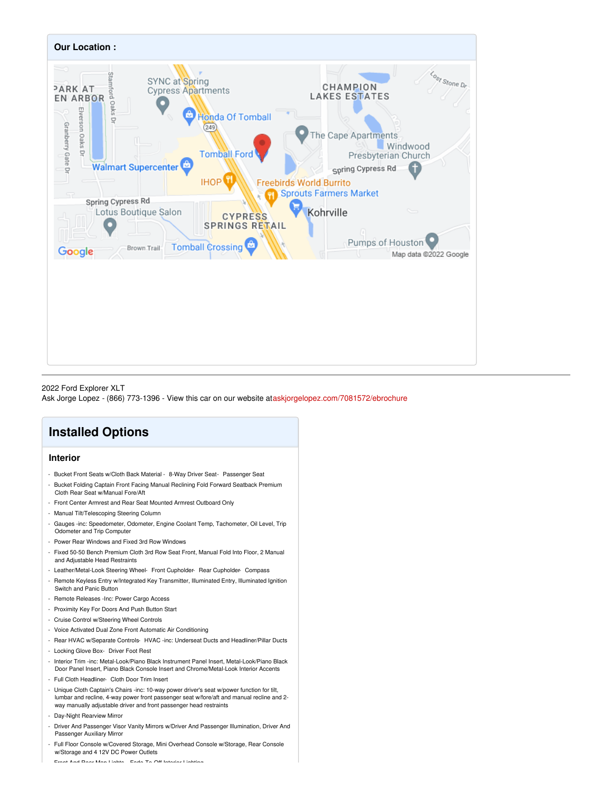

### 2022 Ford Explorer XLT Ask Jorge Lopez - (866) 773-1396 - View this car on our website at[askjorgelopez.com/7081572/ebrochure](https://askjorgelopez.com/vehicle/7081572/2022-ford-explorer-xlt-tomball-tx-77375/7081572/ebrochure)

# **Installed Options**

### **Interior**

- Bucket Front Seats w/Cloth Back Material 8-Way Driver Seat- Passenger Seat
- Bucket Folding Captain Front Facing Manual Reclining Fold Forward Seatback Premium Cloth Rear Seat w/Manual Fore/Aft
- Front Center Armrest and Rear Seat Mounted Armrest Outboard Only
- Manual Tilt/Telescoping Steering Column
- Gauges -inc: Speedometer, Odometer, Engine Coolant Temp, Tachometer, Oil Level, Trip Odometer and Trip Computer
- Power Rear Windows and Fixed 3rd Row Windows
- Fixed 50-50 Bench Premium Cloth 3rd Row Seat Front, Manual Fold Into Floor, 2 Manual and Adjustable Head Restraints
- Leather/Metal-Look Steering Wheel- Front Cupholder- Rear Cupholder- Compass
- Remote Keyless Entry w/Integrated Key Transmitter, Illuminated Entry, Illuminated Ignition Switch and Panic Button
- Remote Releases -Inc: Power Cargo Access
- Proximity Key For Doors And Push Button Start
- Cruise Control w/Steering Wheel Controls
- Voice Activated Dual Zone Front Automatic Air Conditioning
- Rear HVAC w/Separate Controls- HVAC -inc: Underseat Ducts and Headliner/Pillar Ducts
- Locking Glove Box- Driver Foot Rest
- Interior Trim -inc: Metal-Look/Piano Black Instrument Panel Insert, Metal-Look/Piano Black Door Panel Insert, Piano Black Console Insert and Chrome/Metal-Look Interior Accents
- Full Cloth Headliner- Cloth Door Trim Insert
- Unique Cloth Captain's Chairs -inc: 10-way power driver's seat w/power function for tilt, lumbar and recline, 4-way power front passenger seat w/fore/aft and manual recline and 2 way manually adjustable driver and front passenger head restraints
- Day-Night Rearview Mirror
- Driver And Passenger Visor Vanity Mirrors w/Driver And Passenger Illumination, Driver And Passenger Auxiliary Mirror
- Full Floor Console w/Covered Storage, Mini Overhead Console w/Storage, Rear Console w/Storage and 4 12V DC Power Outlets

- Front And Rear Map Lights- Fade-To-Off Interior Lighting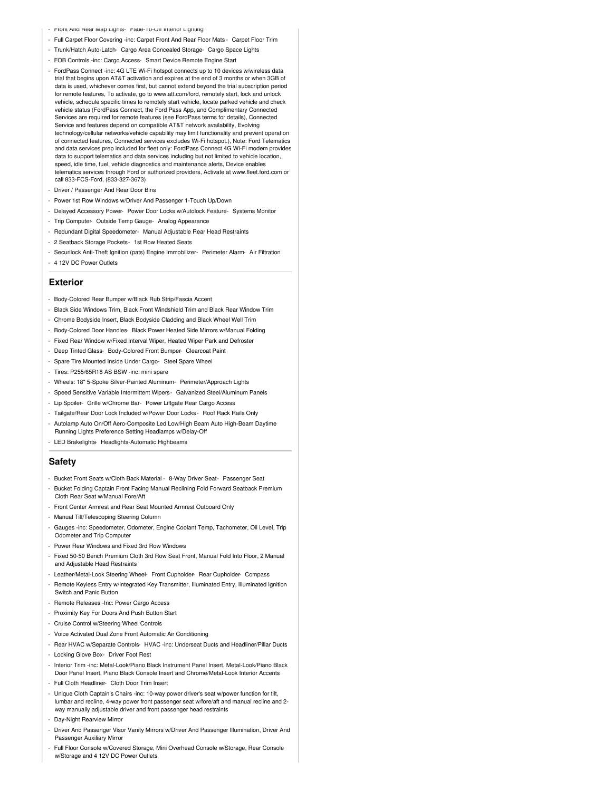- Front And Rear Map Lights- Fade-To-Off Interior Lighting
- Full Carpet Floor Covering -inc: Carpet Front And Rear Floor Mats Carpet Floor Trim
- Trunk/Hatch Auto-Latch- Cargo Area Concealed Storage- Cargo Space Lights
- FOB Controls -inc: Cargo Access- Smart Device Remote Engine Start
- FordPass Connect -inc: 4G LTE Wi-Fi hotspot connects up to 10 devices w/wireless data trial that begins upon AT&T activation and expires at the end of 3 months or when 3GB of data is used, whichever comes first, but cannot extend beyond the trial subscription period for remote features, To activate, go to www.att.com/ford, remotely start, lock and unlock vehicle, schedule specific times to remotely start vehicle, locate parked vehicle and check vehicle status (FordPass Connect, the Ford Pass App, and Complimentary Connected Services are required for remote features (see FordPass terms for details), Connected Service and features depend on compatible AT&T network availability, Evolving technology/cellular networks/vehicle capability may limit functionality and prevent operation of connected features, Connected services excludes Wi-Fi hotspot.), Note: Ford Telematics and data services prep included for fleet only: FordPass Connect 4G Wi-Fi modem provides data to support telematics and data services including but not limited to vehicle location, speed, idle time, fuel, vehicle diagnostics and maintenance alerts, Device enables telematics services through Ford or authorized providers, Activate at www.fleet.ford.com or call 833-FCS-Ford, (833-327-3673)
- Driver / Passenger And Rear Door Bins
- Power 1st Row Windows w/Driver And Passenger 1-Touch Up/Down
- Delayed Accessory Power- Power Door Locks w/Autolock Feature- Systems Monitor
- Trip Computer- Outside Temp Gauge- Analog Appearance
- Redundant Digital Speedometer- Manual Adjustable Rear Head Restraints
- 2 Seatback Storage Pockets- 1st Row Heated Seats
- Securilock Anti-Theft Ignition (pats) Engine Immobilizer- Perimeter Alarm- Air Filtration - 4 12V DC Power Outlets

#### **Exterior**

- Body-Colored Rear Bumper w/Black Rub Strip/Fascia Accent
- Black Side Windows Trim, Black Front Windshield Trim and Black Rear Window Trim
- Chrome Bodyside Insert, Black Bodyside Cladding and Black Wheel Well Trim
- Body-Colored Door Handles- Black Power Heated Side Mirrors w/Manual Folding
- Fixed Rear Window w/Fixed Interval Wiper, Heated Wiper Park and Defroster
- Deep Tinted Glass- Body-Colored Front Bumper- Clearcoat Paint
- Spare Tire Mounted Inside Under Cargo- Steel Spare Wheel
- Tires: P255/65R18 AS BSW -inc: mini spare
- Wheels: 18" 5-Spoke Silver-Painted Aluminum- Perimeter/Approach Lights
- Speed Sensitive Variable Intermittent Wipers- Galvanized Steel/Aluminum Panels
- Lip Spoiler- Grille w/Chrome Bar- Power Liftgate Rear Cargo Access
- Tailgate/Rear Door Lock Included w/Power Door Locks Roof Rack Rails Only
- Autolamp Auto On/Off Aero-Composite Led Low/High Beam Auto High-Beam Daytime
- Running Lights Preference Setting Headlamps w/Delay-Off
- LED Brakelights- Headlights-Automatic Highbeams

#### **Safety**

- Bucket Front Seats w/Cloth Back Material 8-Way Driver Seat- Passenger Seat
- Bucket Folding Captain Front Facing Manual Reclining Fold Forward Seatback Premium Cloth Rear Seat w/Manual Fore/Aft
- Front Center Armrest and Rear Seat Mounted Armrest Outboard Only
- Manual Tilt/Telescoping Steering Column
- Gauges -inc: Speedometer, Odometer, Engine Coolant Temp, Tachometer, Oil Level, Trip Odometer and Trip Computer
- Power Rear Windows and Fixed 3rd Row Windows
- Fixed 50-50 Bench Premium Cloth 3rd Row Seat Front, Manual Fold Into Floor, 2 Manual and Adjustable Head Restraints
- Leather/Metal-Look Steering Wheel- Front Cupholder- Rear Cupholder- Compass
- Remote Keyless Entry w/Integrated Key Transmitter, Illuminated Entry, Illuminated Ignition Switch and Panic Button
- Remote Releases -Inc: Power Cargo Access
- Proximity Key For Doors And Push Button Start
- Cruise Control w/Steering Wheel Controls
- Voice Activated Dual Zone Front Automatic Air Conditioning
- Rear HVAC w/Separate Controls- HVAC -inc: Underseat Ducts and Headliner/Pillar Ducts - Locking Glove Box- Driver Foot Rest
- Interior Trim -inc: Metal-Look/Piano Black Instrument Panel Insert, Metal-Look/Piano Black Door Panel Insert, Piano Black Console Insert and Chrome/Metal-Look Interior Accents
- Full Cloth Headliner- Cloth Door Trim Insert
- Unique Cloth Captain's Chairs -inc: 10-way power driver's seat w/power function for tilt, lumbar and recline, 4-way power front passenger seat w/fore/aft and manual recline and 2 way manually adjustable driver and front passenger head restraints
- Day-Night Rearview Mirror
- Driver And Passenger Visor Vanity Mirrors w/Driver And Passenger Illumination, Driver And Passenger Auxiliary Mirror
- Full Floor Console w/Covered Storage, Mini Overhead Console w/Storage, Rear Console w/Storage and 4 12V DC Power Outlets